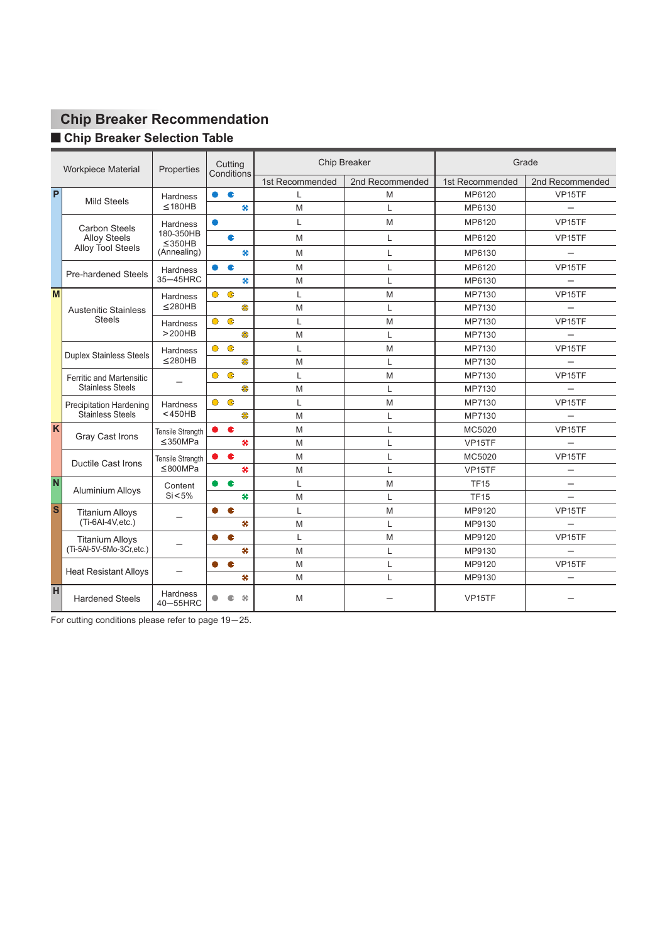# **Chip Breaker Recommendation**

# $\blacksquare$  **Chip Breaker Selection Table**

| <b>Workpiece Material</b> |                                 | Properties                  | Cutting<br>Conditions     |                 | Chip Breaker    |                     | Grade                    |
|---------------------------|---------------------------------|-----------------------------|---------------------------|-----------------|-----------------|---------------------|--------------------------|
|                           |                                 |                             |                           | 1st Recommended | 2nd Recommended | 1st Recommended     | 2nd Recommended          |
| P                         | <b>Mild Steels</b>              | <b>Hardness</b>             | c<br>۰                    | L               | M               | MP6120              | VP <sub>15</sub> TF      |
|                           |                                 | $\leq$ 180HB                | 关                         | M               | L               | MP6130              |                          |
|                           | <b>Carbon Steels</b>            | <b>Hardness</b>             | $\bullet$                 | L               | M               | MP6120              | VP <sub>15</sub> TF      |
|                           | <b>Alloy Steels</b>             | 180-350HB<br>$\leq$ 350HB   | c                         | M               | L               | MP6120              | VP <sub>15</sub> TF      |
|                           | Alloy Tool Steels               | (Annealing)                 | 北                         | M               | L               | MP6130              |                          |
|                           | <b>Pre-hardened Steels</b>      | Hardness                    | c<br>$\bullet$            | M               | L               | MP6120              | VP <sub>15</sub> TF      |
|                           |                                 | 35-45HRC                    | 关                         | М               | L               | MP6130              |                          |
| M                         |                                 | <b>Hardness</b>             | $\mathbf{G}$<br>$\bullet$ | L               | M               | MP7130              | VP <sub>15</sub> TF      |
|                           | <b>Austenitic Stainless</b>     | $≤$ 280HB                   | \$                        | M               | L               | MP7130              |                          |
|                           | <b>Steels</b>                   | <b>Hardness</b>             | $\bullet$<br>$\bullet$    | L               | M               | MP7130              | VP <sub>15</sub> TF      |
|                           |                                 | >200HB                      | \$                        | M               | L               | MP7130              |                          |
|                           |                                 | <b>Hardness</b>             | $\bullet$<br>$\bullet$    | L               | M               | MP7130              | VP15TF                   |
|                           | <b>Duplex Stainless Steels</b>  | $≤$ 280HB                   | \$                        | M               | L               | MP7130              |                          |
|                           | <b>Ferritic and Martensitic</b> |                             | $\bullet$<br>$\bullet$    | L               | M               | MP7130              | VP <sub>15</sub> TF      |
|                           | <b>Stainless Steels</b>         |                             | \$                        | M               | L               | MP7130              |                          |
|                           | <b>Precipitation Hardening</b>  | <b>Hardness</b>             | $\bullet$<br>$\bullet$    | L               | M               | MP7130              | VP15TF                   |
|                           | Stainless Steels                | $<$ 450HB                   | \$                        | M               | L               | MP7130              |                          |
| K                         | Gray Cast Irons                 | Tensile Strength            | $\bullet$ $\bullet$       | M               | L               | MC5020              | VP <sub>15</sub> TF      |
|                           |                                 | $\leq$ 350MPa               | 关                         | M               | L               | VP <sub>15</sub> TF |                          |
|                           | <b>Ductile Cast Irons</b>       | <b>Tensile Strength</b>     | $\bullet$<br>$\bullet$ .  | M               | L               | MC5020              | VP15TF                   |
|                           |                                 | $\leq$ 800MPa               | $\star$                   | M               | L               | VP <sub>15</sub> TF |                          |
| $\overline{\mathsf{N}}$   | Aluminium Alloys                | Content                     | $\bullet$<br>$\bullet$    | L               | M               | <b>TF15</b>         | $\overline{\phantom{0}}$ |
|                           |                                 | $Si < 5\%$                  | 关                         | M               | L               | <b>TF15</b>         |                          |
| <sub>S</sub>              | <b>Titanium Alloys</b>          |                             | e<br>Ω                    | L               | M               | MP9120              | VP <sub>15</sub> TF      |
|                           | (Ti-6Al-4V, etc.)               |                             | 关                         | M               | L               | MP9130              |                          |
|                           | <b>Titanium Alloys</b>          |                             | e                         | L               | M               | MP9120              | VP15TF                   |
|                           | (Ti-5Al-5V-5Mo-3Cr,etc.)        |                             | $\star$                   | M               | L               | MP9130              | $\equiv$                 |
|                           | <b>Heat Resistant Alloys</b>    | —                           | $\bullet$<br>Ω            | M               | Г               | MP9120              | VP15TF                   |
|                           |                                 |                             | 关                         | M               | L               | MP9130              |                          |
| H                         | <b>Hardened Steels</b>          | <b>Hardness</b><br>40-55HRC | $\bullet$<br>46<br>c      | M               |                 | VP <sub>15</sub> TF |                          |

For cutting conditions please refer to page 19-25.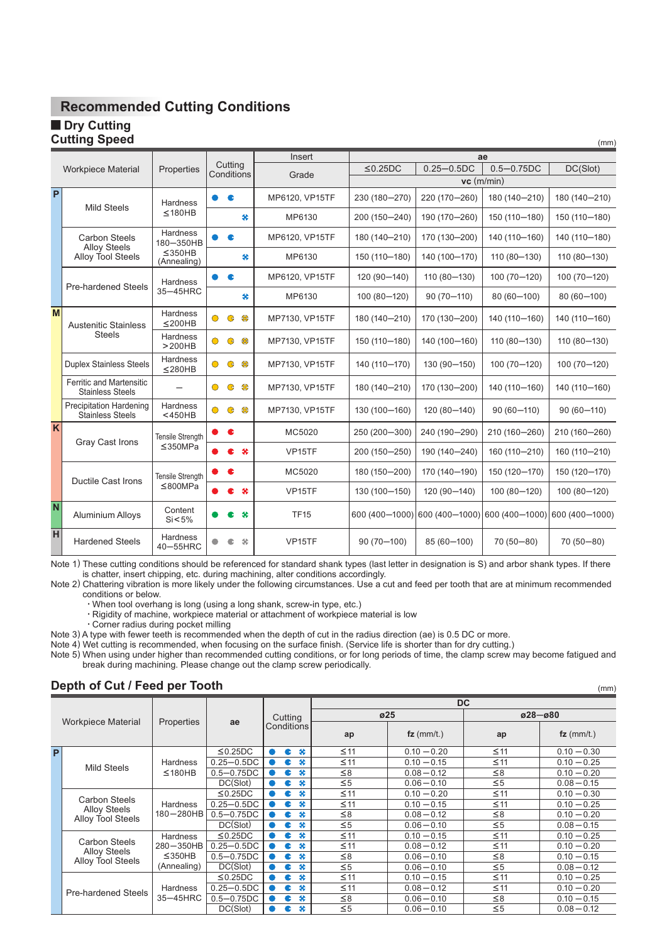#### **Dry Cutting Cutting Speed**

|                |                                                            |                              |            |                       | Insert              |                |                | ae              |                 |  |
|----------------|------------------------------------------------------------|------------------------------|------------|-----------------------|---------------------|----------------|----------------|-----------------|-----------------|--|
|                | <b>Workpiece Material</b>                                  | Properties                   |            | Cutting<br>Conditions |                     | $\leq$ 0.25DC  | $0.25 - 0.5DC$ | $0.5 - 0.75DC$  | DC(Slot)        |  |
|                |                                                            |                              |            |                       | Grade               | $vc$ (m/min)   |                |                 |                 |  |
| P              | <b>Mild Steels</b>                                         | Hardness                     |            | c                     | MP6120, VP15TF      | 230 (180-270)  | 220 (170-260)  | 180 (140-210)   | 180 (140-210)   |  |
|                |                                                            | ≤180HB                       |            | ₩                     | MP6130              | 200 (150-240)  | 190 (170-260)  | 150 (110-180)   | 150 (110-180)   |  |
|                | <b>Carbon Steels</b><br><b>Alloy Steels</b>                | <b>Hardness</b><br>180-350HB |            | c                     | MP6120, VP15TF      | 180 (140-210)  | 170 (130-200)  | 140 (110-160)   | 140 (110-180)   |  |
|                | <b>Alloy Tool Steels</b>                                   | ≤350HB<br>(Annealing)        |            | 关                     | MP6130              | 150 (110-180)  | 140 (100-170)  | 110 (80-130)    | 110 (80-130)    |  |
|                | <b>Pre-hardened Steels</b>                                 | <b>Hardness</b>              |            | c                     | MP6120, VP15TF      | 120 (90-140)   | 110 (80-130)   | 100 (70-120)    | $100(70 - 120)$ |  |
|                |                                                            | 35-45HRC                     |            | 关                     | MP6130              | 100 (80-120)   | $90(70 - 110)$ | 80 (60-100)     | 80 (60-100)     |  |
| M              | <b>Austenitic Stainless</b>                                | <b>Hardness</b><br>$<$ 200HB | $\bullet$  | 器<br>$\bullet$        | MP7130, VP15TF      | 180 (140-210)  | 170 (130-200)  | 140 (110-160)   | 140 (110-160)   |  |
|                | <b>Steels</b>                                              | <b>Hardness</b><br>>200HB    | $\bullet$  | 器<br>$\bullet$        | MP7130, VP15TF      | 150 (110-180)  | 140 (100-160)  | 110 (80-130)    | 110 (80-130)    |  |
|                | <b>Duplex Stainless Steels</b>                             | <b>Hardness</b><br>$≤$ 280HB | $\bullet$  | \$<br>$\mathbf G$     | MP7130, VP15TF      | 140 (110-170)  | 130 (90-150)   | 100 (70-120)    | $100(70 - 120)$ |  |
|                | <b>Ferritic and Martensitic</b><br><b>Stainless Steels</b> |                              | $\bigcirc$ | 器<br>$\bullet$        | MP7130, VP15TF      | 180 (140-210)  | 170 (130-200)  | 140 (110-160)   | 140 (110-160)   |  |
|                | <b>Precipitation Hardening</b><br><b>Stainless Steels</b>  | <b>Hardness</b><br>$<$ 450HB | ∩          | ₩<br>$\bullet$        | MP7130, VP15TF      | 130 (100-160)  | 120 (80-140)   | $90(60 - 110)$  | $90(60 - 110)$  |  |
| K              | <b>Gray Cast Irons</b>                                     | <b>Tensile Strength</b>      |            | e                     | MC5020              | 250 (200-300)  | 240 (190-290)  | 210 (160-260)   | 210 (160-260)   |  |
|                |                                                            | ≤350MPa                      |            | ₩<br>e                | VP <sub>15</sub> TF | 200 (150-250)  | 190 (140-240)  | 160 (110-210)   | 160 (110-210)   |  |
|                | <b>Ductile Cast Irons</b>                                  | Tensile Strength             |            | c                     | MC5020              | 180 (150-200)  | 170 (140-190)  | 150 (120-170)   | 150 (120-170)   |  |
|                |                                                            | ≤800MPa                      |            | $\bullet$<br>c        | VP <sub>15</sub> TF | 130 (100-150)  | 120 (90-140)   | $100(80 - 120)$ | 100 (80-120)    |  |
| $\overline{N}$ | <b>Aluminium Alloys</b>                                    | Content<br>$Si < 5\%$        |            | $\bullet$             | <b>TF15</b>         | 600 (400-1000) | 600 (400-1000) | 600 (400-1000)  | 600 (400-1000)  |  |
| H              | <b>Hardened Steels</b>                                     | <b>Hardness</b><br>40-55HRC  |            | 46<br>c               | VP <sub>15</sub> TF | $90(70 - 100)$ | 85 (60-100)    | 70 (50 - 80)    | 70 (50-80)      |  |

(mm)

Note 1) These cutting conditions should be referenced for standard shank types (last letter in designation is S) and arbor shank types. If there is chatter, insert chipping, etc. during machining, alter conditions accordingly.

Note 2) Chattering vibration is more likely under the following circumstances. Use a cut and feed per tooth that are at minimum recommended conditions or below.

・When tool overhang is long (using a long shank, screw-in type, etc.)

・Rigidity of machine, workpiece material or attachment of workpiece material is low

・Corner radius during pocket milling

Note 3) A type with fewer teeth is recommended when the depth of cut in the radius direction (ae) is 0.5 DC or more.

Note 4) Wet cutting is recommended, when focusing on the surface finish. (Service life is shorter than for dry cutting.)

Note 5) When using under higher than recommended cutting conditions, or for long periods of time, the clamp screw may become fatigued and break during machining. Please change out the clamp screw periodically.

## **Depth of Cut / Feed per Tooth**

|   | Depth of Cut / Feed per Tooth               |                              |                |                   |         |  |           |               |           | (mm)          |  |
|---|---------------------------------------------|------------------------------|----------------|-------------------|---------|--|-----------|---------------|-----------|---------------|--|
|   |                                             |                              |                |                   | Cutting |  | <b>DC</b> |               |           |               |  |
|   |                                             |                              |                |                   |         |  | ø25       |               |           | $028 - 080$   |  |
|   | <b>Workpiece Material</b>                   | <b>Properties</b>            | ae             | <b>Conditions</b> |         |  | ap        | $fz$ (mm/t.)  | ap        | $fz$ (mm/t.)  |  |
| P |                                             |                              | $\leq$ 0.25DC  | $\blacksquare$    | ×<br>c  |  | $\leq$ 11 | $0.10 - 0.20$ | $\leq 11$ | $0.10 - 0.30$ |  |
|   | <b>Mild Steels</b>                          | <b>Hardness</b>              | $0.25 - 0.5DC$ |                   | ×<br>e  |  | $\leq$ 11 | $0.10 - 0.15$ | $≤11$     | $0.10 - 0.25$ |  |
|   |                                             | $\leq$ 180HB                 | $0.5 - 0.75DC$ | $\bullet$         | ₩<br>c  |  | $\leq 8$  | $0.08 - 0.12$ | $\leq 8$  | $0.10 - 0.20$ |  |
|   |                                             |                              | DC(Slot)       | $\bullet$         | ₩<br>e  |  | $\leq 5$  | $0.06 - 0.10$ | $\leq 5$  | $0.08 - 0.15$ |  |
|   |                                             | <b>Hardness</b><br>180-280HB | $\leq$ 0.25DC  |                   | æ<br>c  |  | $\leq 11$ | $0.10 - 0.20$ | $\leq 11$ | $0.10 - 0.30$ |  |
|   | Carbon Steels                               |                              | $0.25 - 0.5DC$ |                   | ₩<br>e  |  | $\leq 11$ | $0.10 - 0.15$ | $≤11$     | $0.10 - 0.25$ |  |
|   | <b>Alloy Steels</b><br>Alloy Tool Steels    |                              | $0.5 - 0.75DC$ | $\bullet$         | æ<br>c  |  | $\leq 8$  | $0.08 - 0.12$ | $\leq 8$  | $0.10 - 0.20$ |  |
|   |                                             |                              | DC(Slot)       | o                 | ×<br>e  |  | $\leq 5$  | $0.06 - 0.10$ | $\leq 5$  | $0.08 - 0.15$ |  |
|   |                                             | <b>Hardness</b>              | $\leq$ 0.25DC  |                   | ×<br>e  |  | $\leq$ 11 | $0.10 - 0.15$ | $≤11$     | $0.10 - 0.25$ |  |
|   | <b>Carbon Steels</b><br><b>Alloy Steels</b> | $280 - 350$ HB               | $0.25 - 0.5DC$ |                   | 北<br>e  |  | $\leq$ 11 | $0.08 - 0.12$ | $≤11$     | $0.10 - 0.20$ |  |
|   | <b>Alloy Tool Steels</b>                    | $\leq$ 350HB                 | $0.5 - 0.75DC$ | $\bullet$         | ×<br>c  |  | $\leq 8$  | $0.06 - 0.10$ | $\leq 8$  | $0.10 - 0.15$ |  |
|   |                                             | (Annealing)                  | DC(Slot)       |                   | æ<br>e  |  | $\leq 5$  | $0.06 - 0.10$ | $\leq 5$  | $0.08 - 0.12$ |  |
|   |                                             |                              | $\leq$ 0.25DC  | $\bullet$         | 北<br>e  |  | $\leq$ 11 | $0.10 - 0.15$ | $≤11$     | $0.10 - 0.25$ |  |
|   | <b>Pre-hardened Steels</b>                  | <b>Hardness</b>              | $0.25 - 0.5DC$ | ●                 | 北<br>e  |  | $\leq$ 11 | $0.08 - 0.12$ | $≤11$     | $0.10 - 0.20$ |  |
|   |                                             | 35-45HRC                     | $0.5 - 0.75DC$ |                   | ×<br>æ  |  | $\leq 8$  | $0.06 - 0.10$ | $\leq 8$  | $0.10 - 0.15$ |  |
|   |                                             |                              | DC(Slot)       |                   | ×<br>c  |  | $\leq 5$  | $0.06 - 0.10$ | $\leq 5$  | $0.08 - 0.12$ |  |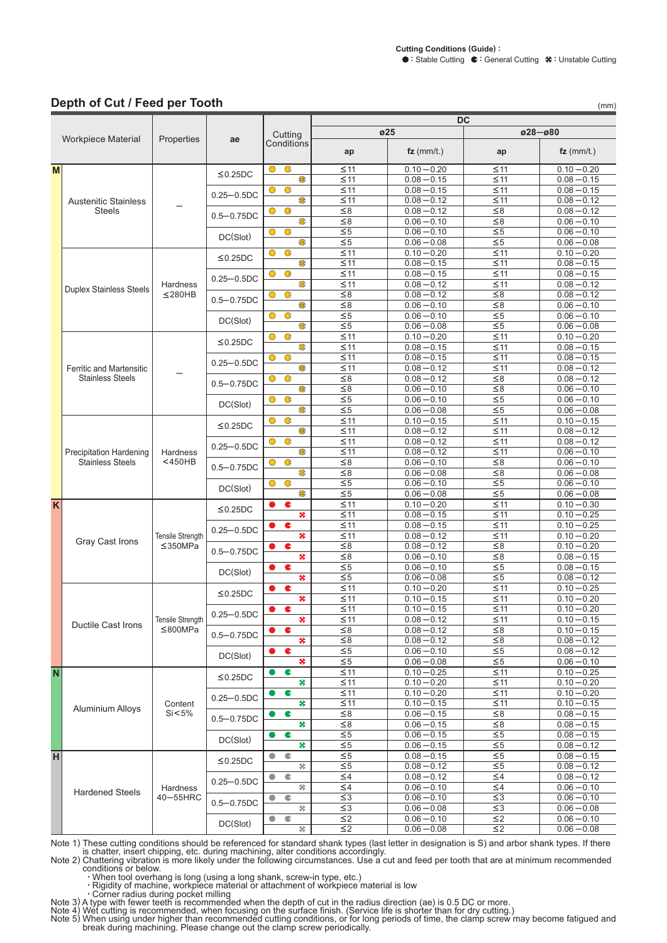$028 - 080$ 

 $\overline{DC}$ 

 $\overline{025}$ 

Cutting

ae

 $(mm)$ 

#### Depth of Cut / Feed per Tooth

Workpiece Material

 $\overline{M}$ 

 $\overline{\mathsf{K}}$ 

 $\overline{\mathsf{N}}$ 

 $H$ 

Properties

| vvorkpiece iviateriai           | Properties                               | ae             | Conditions                  | ap                    | $fz$ (mm/t.)                   | ap                     | $fz$ (mm/t.)                   |
|---------------------------------|------------------------------------------|----------------|-----------------------------|-----------------------|--------------------------------|------------------------|--------------------------------|
|                                 |                                          | $\leq$ 0.25DC  | $\bullet$<br>$\bullet$      | $\leq$ 11             | $0.10 - 0.20$                  | $\leq$ 11              | $0.10 - 0.20$                  |
|                                 |                                          |                | \$                          | $\leq$ 11             | $0.08 - 0.15$                  | $\leq$ 11              | $0.08 - 0.15$                  |
|                                 |                                          | $0.25 - 0.5DC$ | $\bullet$<br>$\bullet$      | $\leq$ 11             | $0.08 - 0.15$                  | $\leq$ 11              | $0.08 - 0.15$                  |
| <b>Austenitic Stainless</b>     |                                          |                | \$                          | $\leq$ 11             | $0.08 - 0.12$                  | $\leq$ 11              | $0.08 - 0.12$                  |
| <b>Steels</b>                   |                                          | $0.5 - 0.75DC$ | $\bullet$<br>$\bullet$      | $\leq 8$              | $0.08 - 0.12$                  | $\leq 8$               | $0.08 - 0.12$                  |
|                                 |                                          |                | \$                          | $\leq 8$              | $0.06 - 0.10$                  | $\leq 8$               | $0.06 - 0.10$                  |
|                                 |                                          | DC(Slot)       | $\bullet$<br>$\bullet$      | $\leq\!5$             | $0.06 - 0.10$                  | $\leq 5$               | $0.06 - 0.10$                  |
|                                 |                                          |                | \$                          | $\leq\!5$             | $0.06 - 0.08$                  | $\leq$ 5               | $0.06 - 0.08$                  |
|                                 |                                          | $≤0.25DC$      | $\bullet$<br>$\bullet$      | $\leq$ 11             | $0.10 - 0.20$                  | $\leq 11$              | $0.10 - 0.20$                  |
|                                 |                                          |                | \$                          | $\leq$ 11             | $0.08 - 0.15$                  | $\leq$ 11              | $0.08 - 0.15$                  |
|                                 |                                          | $0.25 - 0.5DC$ | $\overline{G}$<br>$\bullet$ | $\leq$ 11             | $0.08 - 0.15$                  | $\leq$ 11              | $0.08 - 0.15$                  |
| Duplex Stainless Steels         | Hardness                                 |                | 需                           | $\leq$ 11             | $0.08 - 0.12$                  | $\leq$ 11              | $0.08 - 0.12$                  |
|                                 | $\leq$ 280HB                             | $0.5 - 0.75DC$ | $\bullet$<br>$\circ$        | $\leq 8$              | $0.08 - 0.12$                  | $\leq 8$               | $0.08 - 0.12$                  |
|                                 |                                          |                | \$                          | $\leq 8$              | $0.06 - 0.10$                  | $\leq 8$               | $0.06 - 0.10$                  |
|                                 |                                          | DC(Slot)       | $\bullet$<br>$\bullet$      | $\leq\!5$             | $0.06 - 0.10$                  | $\leq 5$               | $0.06 - 0.10$                  |
|                                 |                                          |                | \$                          | $\leq\!5$             | $0.06 - 0.08$                  | $\leq 5$               | $0.06 - 0.08$                  |
|                                 |                                          | ≤0.25DC        | $\bullet$<br>$\bullet$      | $\leq$ 11             | $0.10 - 0.20$                  | $\leq$ 11              | $0.10 - 0.20$                  |
|                                 |                                          |                | \$                          | $\leq$ 11             | $0.08 - 0.15$                  | $\leq$ 11              | $0.08 - 0.15$                  |
|                                 |                                          | $0.25 - 0.5DC$ | $\mathbf G$<br>$\bullet$    | $\leq$ 11             | $0.08 - 0.15$                  | $\leq$ 11              | $0.08 - 0.15$                  |
| <b>Ferritic and Martensitic</b> |                                          |                | \$                          | $\leq$ 11             | $0.08 - 0.12$                  | $\leq$ 11              | $0.08 - 0.12$                  |
| <b>Stainless Steels</b>         |                                          | $0.5 - 0.75DC$ | $\bullet$<br>$\bullet$      | $\leq 8$              | $0.08 - 0.12$                  | $\leq$ 8               | $0.08 - 0.12$                  |
|                                 |                                          |                | \$                          | $\leq 8$              | $0.06 - 0.10$                  | $\leq 8$               | $0.06 - 0.10$                  |
|                                 |                                          | DC(Slot)       | $\bullet$<br>$\bullet$      | $\leq 5$              | $0.06 - 0.10$                  | $\leq 5$               | $0.06 - 0.10$                  |
|                                 |                                          |                | \$                          | $\leq\!5$             | $0.06 - 0.08$                  | $\leq$ 5               | $0.06 - 0.08$                  |
|                                 |                                          | $\leq$ 0.25DC  | $\bullet$<br>O              | $\leq 11$             | $0.10 - 0.15$                  | $\leq 11$              | $0.10 - 0.15$                  |
|                                 |                                          |                | \$                          | $\leq$ 11             | $0.08 - 0.12$                  | $\leq 11$              | $0.08 - 0.12$                  |
|                                 | Hardness<br>$<$ 450HB                    | $0.25 - 0.5DC$ | $\bullet$<br>$\bullet$      | $\leq$ 11             | $0.08 - 0.12$                  | $\leq$ 11              | $0.08 - 0.12$                  |
| <b>Precipitation Hardening</b>  |                                          |                | \$                          | $\leq$ 11             | $0.08 - 0.12$                  | $\leq$ 11              | $0.06 - 0.10$                  |
| <b>Stainless Steels</b>         |                                          | $0.5 - 0.75DC$ | $\bullet$<br>$\bullet$      | $\leq$ 8              | $0.06 - 0.10$                  | $\leq 8$               | $0.06 - 0.10$                  |
|                                 |                                          |                | 需                           | $\leq 8$              | $0.06 - 0.08$                  | $\leq 8$               | $0.06 - 0.08$                  |
|                                 |                                          | DC(Slot)       | G<br>$\bullet$              | $\leq 5$              | $0.06 - 0.10$                  | $\leq\!5$              | $0.06 - 0.10$                  |
|                                 |                                          |                | \$                          | $\leq\!5$             | $0.06 - 0.08$                  | $\overline{\leq}$      | $0.06 - 0.08$                  |
|                                 | <b>Tensile Strength</b><br>$\leq$ 350MPa | ≤0.25DC        | ¢                           | $\leq 11$             | $0.10 - 0.20$                  | $\leq$ 11              | $0.10 - 0.30$                  |
|                                 |                                          |                | ×                           | $\leq$ 11             | $0.08 - 0.15$                  | $\leq 11$              | $0.10 - 0.25$                  |
|                                 |                                          | $0.25 - 0.5DC$ | c<br>₩                      | $\leq$ 11             | $0.08 - 0.15$                  | $\leq$ 11              | $0.10 - 0.25$                  |
| Gray Cast Irons                 |                                          |                | ¢                           | $\leq$ 11             | $0.08 - 0.12$                  | $\leq$ 11              | $0.10 - 0.20$                  |
|                                 |                                          | $0.5 - 0.75DC$ | ×                           | $\leq 8$              | $0.08 - 0.12$                  | ${\leq}8$              | $0.10 - 0.20$                  |
|                                 |                                          |                | c                           | $\leq 8$              | $0.06 - 0.10$                  | $\leq 8$               | $0.08 - 0.15$                  |
|                                 |                                          | DC(Slot)       | ₩                           | $\leq\!5$             | $0.06 - 0.10$<br>$0.06 - 0.08$ | $\leq 5$               | $0.08 - 0.15$<br>$0.08 - 0.12$ |
|                                 |                                          |                | ¢                           | $\leq 5$<br>$\leq$ 11 | $0.10 - 0.20$                  | $\leq\!5$<br>$\leq$ 11 | $0.10 - 0.25$                  |
|                                 |                                          | $\leq$ 0.25DC  | ×                           | $\leq$ 11             | $0.10 - 0.15$                  | $\leq$ 11              | $0.10 - 0.20$                  |
|                                 |                                          |                | ¢                           | $\leq$ 11             | $0.10 - 0.15$                  | $\leq$ 11              | $0.10 - 0.20$                  |
|                                 | <b>Tensile Strength</b>                  | $0.25 - 0.5DC$ | 关                           | $\leq$ 11             | $0.08 - 0.12$                  | $\leq$ 11              | $0.10 - 0.15$                  |
| Ductile Cast Irons              | ≤800MPa                                  |                | ¢                           | $\leq 8$              | $0.08 - 0.12$                  | $\leq 8$               | $0.10 - 0.15$                  |
|                                 |                                          | $0.5 - 0.75DC$ | *                           | $\leq 8$              | $0.08 - 0.12$                  | $\leq 8$               | $0.08 - 0.12$                  |
|                                 |                                          |                | ¢                           | $\leq 5$              | $0.06 - 0.10$                  | $\leq 5$               | $0.08 - 0.12$                  |
|                                 |                                          | DC(Slot)       | ×                           | $\leq\!5$             | $0.06 - 0.08$                  | $\leq$ 5               | $0.06 - 0.10$                  |
|                                 |                                          |                | C                           | $\leq$ 11             | $0.10 - 0.25$                  | $\leq$ 11              | $0.10 - 0.25$                  |
|                                 |                                          | ≤0.25DC        | ×                           | $\leq$ 11             | $0.10 - 0.20$                  | $\leq$ 11              | $0.10 - 0.20$                  |
|                                 |                                          |                | C<br>o                      | $\leq$ 11             | $0.10 - 0.20$                  | $\leq$ 11              | $0.10 - 0.20$                  |
|                                 | Content                                  | $0.25 - 0.5DC$ | ×                           | $\leq$ 11             | $0.10 - 0.15$                  | $\leq$ 11              | $0.10 - 0.15$                  |
| <b>Aluminium Alloys</b>         | Si < 5%                                  |                | C                           | $\leq 8$              | $0.06 - 0.15$                  | $\leq$ 8               | $0.08 - 0.15$                  |
|                                 |                                          | $0.5 - 0.75DC$ | #                           | $\leq 8$              | $0.06 - 0.15$                  | $\leq 8$               | $0.08 - 0.15$                  |
|                                 |                                          |                | C                           | $\leq 5$              | $0.06 - 0.15$                  | $\leq\!5$              | $0.08 - 0.15$                  |
|                                 |                                          | DC(Slot)       | ₩                           | $\leq\!5$             | $0.06 - 0.15$                  | $\leq 5$               | $0.08 - 0.12$                  |
|                                 |                                          |                | ¢<br>$\bullet$              | $\leq\!5$             | $0.08 - 0.15$                  | $\leq\!5$              | $0.08 - 0.15$                  |
|                                 |                                          | $\leq$ 0.25DC  | 劣                           | $\leq\!5$             | $0.08 - 0.12$                  | $\leq 5$               | $0.08 - 0.12$                  |
|                                 |                                          |                | ¢                           | $\leq 4$              | $0.08 - 0.12$                  | $\leq 4$               | $0.08 - 0.12$                  |
|                                 | Hardness                                 | $0.25 - 0.5DC$ | 华                           | $\leq 4$              | $0.06 - 0.10$                  | $\leq 4$               | $0.06 - 0.10$                  |
| <b>Hardened Steels</b>          | 40-55HRC                                 |                | ¢<br>0                      | $\leq$ 3              | $0.06 - 0.10$                  | $\leq$ 3               | $0.06 - 0.10$                  |
|                                 |                                          | $0.5 - 0.75DC$ | 朵                           | $\leq$ 3              | $0.06 - 0.08$                  | $\leq$ 3               | $0.06 - 0.08$                  |
|                                 |                                          |                | ¢<br>$\bullet$              | $\leq$ 2              | $0.06 - 0.10$                  | $\leq$ 2               | $0.06 - 0.10$                  |
|                                 |                                          | DC(Slot)       | 关                           | $\leq$ 2              | $0.06 - 0.08$                  | $\leq$ 2               | $0.06 - 0.08$                  |

Note 1) These cutting conditions should be referenced for standard shank types (last letter in designation is S) and arbor shank types. If there<br>is chatter, insert chipping, etc. during machining, alter conditions accordin

Note 2) Chattering vibration is more likely under the following chromosol cost and the set of the conditions or below<br>
Conditions or below<br>
One thang is long (using a long shank, screw-in type, etc.)<br>
The conditions of mac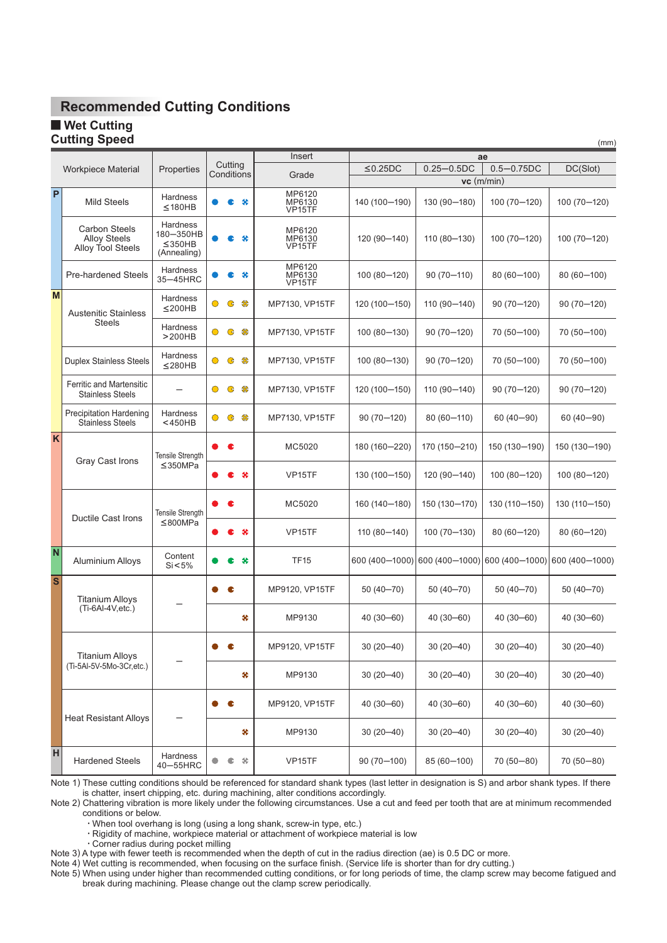**Net Cutting Cutting Speed**

|                         |                                                                  |                                                   |                                | Insert                                       |                |                | ae             |                |
|-------------------------|------------------------------------------------------------------|---------------------------------------------------|--------------------------------|----------------------------------------------|----------------|----------------|----------------|----------------|
|                         | <b>Workpiece Material</b>                                        | Properties                                        | Cutting                        |                                              | $≤0.25DC$      | $0.25 - 0.5DC$ | $0.5 - 0.75DC$ | DC(Slot)       |
|                         |                                                                  |                                                   | Conditions                     | Grade                                        |                |                | $vc$ (m/min)   |                |
| P                       | <b>Mild Steels</b>                                               | Hardness<br>≤180HB                                |                                | MP6120<br>₩<br>MP6130<br>VP <sub>15</sub> TF | 140 (100-190)  | 130 (90-180)   | 100 (70-120)   | 100 (70-120)   |
|                         | <b>Carbon Steels</b><br><b>Alloy Steels</b><br>Alloy Tool Steels | Hardness<br>180-350HB<br>$≤$ 350HB<br>(Annealing) | ₩                              | MP6120<br>MP6130<br>VP <sub>15</sub> TF      | 120 (90-140)   | 110 (80-130)   | 100 (70-120)   | 100 (70-120)   |
|                         | <b>Pre-hardened Steels</b>                                       | <b>Hardness</b><br>35-45HRC                       | c                              | MP6120<br>MP6130<br>₩<br>VP15TF              | 100 (80-120)   | 90 (70-110)    | 80 (60-100)    | 80 (60-100)    |
| M                       | <b>Austenitic Stainless</b>                                      | Hardness<br>$\leq$ 200HB                          | ₩<br>G<br>$\bigcirc$           | MP7130, VP15TF                               | 120 (100-150)  | 110 (90-140)   | 90 (70—120)    | 90 (70–120)    |
|                         | <b>Steels</b>                                                    | Hardness<br>>200HB                                | ₩<br>$\mathbf G$<br>$\bigcirc$ | MP7130, VP15TF                               | 100 (80-130)   | 90 (70-120)    | 70 (50-100)    | 70 (50 - 100)  |
|                         | <b>Duplex Stainless Steels</b>                                   | Hardness<br>$\leq$ 280HB                          | $\bullet$<br>₩<br>$\bullet$    | MP7130, VP15TF                               | 100 (80-130)   | 90 (70-120)    | 70 (50-100)    | 70 (50-100)    |
|                         | <b>Ferritic and Martensitic</b><br><b>Stainless Steels</b>       |                                                   | ₩<br>$\bullet$<br>$\bullet$    | MP7130, VP15TF                               | 120 (100-150)  | 110 (90-140)   | 90 (70-120)    | 90 (70-120)    |
|                         | <b>Precipitation Hardening</b><br><b>Stainless Steels</b>        | Hardness<br>$<$ 450HB                             | ₩<br>$\circ$<br>$\mathbf G$    | MP7130, VP15TF                               | 90 (70-120)    | 80 (60-110)    | 60 (40 - 90)   | 60 (40 - 90)   |
| K                       | Gray Cast Irons                                                  | Tensile Strength                                  | С                              | MC5020                                       | 180 (160-220)  | 170 (150-210)  | 150 (130-190)  | 150 (130-190)  |
|                         |                                                                  | $≤$ 350MPa                                        | ₩<br>c                         | VP <sub>15</sub> TF                          | 130 (100-150)  | 120 (90-140)   | 100 (80-120)   | 100 (80-120)   |
|                         | <b>Ductile Cast Irons</b>                                        | Tensile Strength                                  | c                              | MC5020                                       | 160 (140-180)  | 150 (130-170)  | 130 (110-150)  | 130 (110-150)  |
|                         |                                                                  | ≤800MPa                                           | ₩<br>œ                         | VP <sub>15</sub> TF                          | 110 (80-140)   | 100 (70-130)   | 80 (60-120)    | 80 (60-120)    |
| $\overline{\mathsf{N}}$ | Aluminium Alloys                                                 | Content<br>$Si < 5\%$                             | ₩                              | <b>TF15</b>                                  | 600 (400-1000) | 600 (400-1000) | 600 (400-1000) | 600 (400-1000) |
| S                       | <b>Titanium Alloys</b>                                           |                                                   | c                              | MP9120, VP15TF                               | $50(40 - 70)$  | 50 (40-70)     | $50(40 - 70)$  | 50 (40-70)     |
|                         | $(Ti-6Al-4V,etc.)$                                               |                                                   |                                | ×<br>MP9130                                  | 40 (30 - 60)   | 40 (30 - 60)   | $40(30 - 60)$  | 40 (30-60)     |
|                         | <b>Titanium Alloys</b>                                           |                                                   |                                | MP9120, VP15TF                               | $30(20 - 40)$  | $30(20 - 40)$  | $30(20 - 40)$  | $30(20 - 40)$  |
|                         | (Ti-5Al-5V-5Mo-3Cr,etc.)                                         |                                                   |                                | ₩<br>MP9130                                  | $30(20 - 40)$  | $30(20 - 40)$  | $30(20-40)$    | $30(20 - 40)$  |
|                         |                                                                  |                                                   | c                              | MP9120, VP15TF                               | $40(30 - 60)$  | 40 (30 - 60)   | $40(30 - 60)$  | 40 (30 - 60)   |
|                         | <b>Heat Resistant Alloys</b>                                     |                                                   |                                | #<br>MP9130                                  | $30(20 - 40)$  | $30(20-40)$    | $30(20-40)$    | $30(20 - 40)$  |
| H                       | <b>Hardened Steels</b>                                           | Hardness<br>40-55HRC                              | 爷<br>$\bullet$                 | VP <sub>15</sub> TF                          | $90(70 - 100)$ | 85 (60-100)    | 70 (50 - 80)   | 70 (50 - 80)   |

(mm)

Note 1) These cutting conditions should be referenced for standard shank types (last letter in designation is S) and arbor shank types. If there is chatter, insert chipping, etc. during machining, alter conditions accordingly.

Note 2) Chattering vibration is more likely under the following circumstances. Use a cut and feed per tooth that are at minimum recommended conditions or below.

・When tool overhang is long (using a long shank, screw-in type, etc.)

・Rigidity of machine, workpiece material or attachment of workpiece material is low

・Corner radius during pocket milling

Note 3) A type with fewer teeth is recommended when the depth of cut in the radius direction (ae) is 0.5 DC or more.

Note 4) Wet cutting is recommended, when focusing on the surface finish. (Service life is shorter than for dry cutting.)

Note 5) When using under higher than recommended cutting conditions, or for long periods of time, the clamp screw may become fatigued and break during machining. Please change out the clamp screw periodically.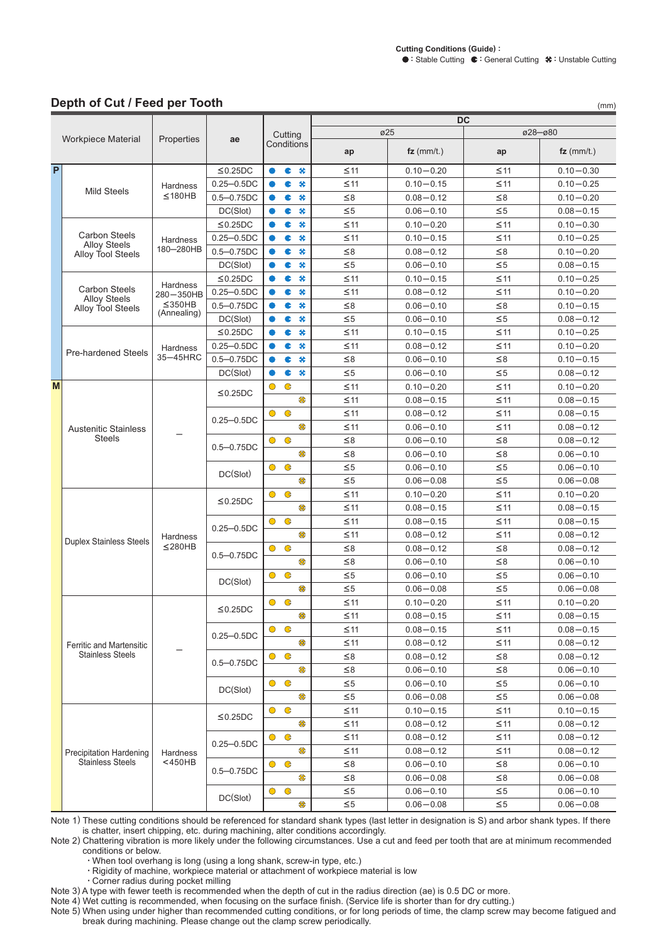#### Depth of Cut / Feed per Tooth

|   | Depth of Cut / Feed per Tooth                                    |              |                |           |             |    |           |                        |           | (mm)          |
|---|------------------------------------------------------------------|--------------|----------------|-----------|-------------|----|-----------|------------------------|-----------|---------------|
|   |                                                                  |              |                | Cutting   |             |    |           | DC<br>$\varnothing$ 25 |           | ø28-ø80       |
|   | Workpiece Material                                               | Properties   | ae             |           | Conditions  |    |           |                        |           |               |
|   |                                                                  |              |                |           |             |    | ap        | $fz$ (mm/t.)           | ap        | $fz$ (mm/t.)  |
| P |                                                                  |              | $\leq$ 0.25DC  |           | c           | ₩  | $\leq$ 11 | $0.10 - 0.20$          | $\leq$ 11 | $0.10 - 0.30$ |
|   | <b>Mild Steels</b>                                               | Hardness     | $0.25 - 0.5DC$ |           | c           | ×  | $\leq$ 11 | $0.10 - 0.15$          | $\leq$ 11 | $0.10 - 0.25$ |
|   |                                                                  | $\leq$ 180HB | $0.5 - 0.75DC$ |           | c           | ₩  | $\leq 8$  | $0.08 - 0.12$          | $\leq 8$  | $0.10 - 0.20$ |
|   |                                                                  |              | DC(Slot)       |           | c           | ₩  | $\leq 5$  | $0.06 - 0.10$          | $\leq 5$  | $0.08 - 0.15$ |
|   |                                                                  |              | $\leq$ 0.25DC  |           | c           | ₩  | $\leq$ 11 | $0.10 - 0.20$          | $\leq$ 11 | $0.10 - 0.30$ |
|   | <b>Carbon Steels</b><br><b>Alloy Steels</b>                      | Hardness     | $0.25 - 0.5DC$ |           | c           | ₩  | $\leq$ 11 | $0.10 - 0.15$          | $\leq$ 11 | $0.10 - 0.25$ |
|   | Alloy Tool Steels                                                | 180-280HB    | $0.5 - 0.75DC$ |           | c           | ×  | $\leq$ 8  | $0.08 - 0.12$          | $\leq$ 8  | $0.10 - 0.20$ |
|   |                                                                  |              | DC(Slot)       |           | c           | ×  | $\leq 5$  | $0.06 - 0.10$          | $\leq 5$  | $0.08 - 0.15$ |
|   |                                                                  | Hardness     | $\leq$ 0.25DC  |           | c           | *  | $\leq$ 11 | $0.10 - 0.15$          | $\leq$ 11 | $0.10 - 0.25$ |
|   | <b>Carbon Steels</b><br><b>Alloy Steels</b><br>Alloy Tool Steels | 280-350HB    | $0.25 - 0.5DC$ |           | c           | ₩  | $\leq$ 11 | $0.08 - 0.12$          | $\leq$ 11 | $0.10 - 0.20$ |
|   |                                                                  | $\leq$ 350HB | $0.5 - 0.75DC$ |           | c           | ₩  | $\leq$ 8  | $0.06 - 0.10$          | $\leq 8$  | $0.10 - 0.15$ |
|   |                                                                  | (Annealing)  | DC(Slot)       |           | c           | ₩  | $\leq 5$  | $0.06 - 0.10$          | $\leq 5$  | $0.08 - 0.12$ |
|   |                                                                  |              | $≤0.25DC$      |           | c           | ₩  | $≤11$     | $0.10 - 0.15$          | $≤11$     | $0.10 - 0.25$ |
|   | <b>Pre-hardened Steels</b>                                       | Hardness     | $0.25 - 0.5DC$ |           | c           | ×  | $≤11$     | $0.08 - 0.12$          | $≤11$     | $0.10 - 0.20$ |
|   |                                                                  | 35-45HRC     | $0.5 - 0.75DC$ |           | c           | ×  | $\leq 8$  | $0.06 - 0.10$          | $\leq 8$  | $0.10 - 0.15$ |
|   |                                                                  |              | DC(Slot)       |           | c           | ₩  | $\leq 5$  | $0.06 - 0.10$          | $\leq 5$  | $0.08 - 0.12$ |
| M |                                                                  |              |                | $\bullet$ | $\mathbf G$ |    | $\leq$ 11 | $0.10 - 0.20$          | $≤11$     | $0.10 - 0.20$ |
|   |                                                                  |              | $\leq$ 0.25DC  |           |             | \$ | $\leq$ 11 | $0.08 - 0.15$          | $≤11$     | $0.08 - 0.15$ |
|   |                                                                  |              |                | $\bullet$ | $\mathbf G$ |    | $\leq$ 11 | $0.08 - 0.12$          | $\leq$ 11 | $0.08 - 0.15$ |
|   | <b>Austenitic Stainless</b><br><b>Steels</b>                     |              | $0.25 - 0.5DC$ |           |             | \$ | $\leq$ 11 | $0.06 - 0.10$          | $\leq$ 11 | $0.08 - 0.12$ |
|   |                                                                  |              |                | $\bullet$ | $\bullet$   |    | $\leq 8$  | $0.06 - 0.10$          | $\leq 8$  | $0.08 - 0.12$ |
|   |                                                                  |              | $0.5 - 0.75DC$ |           |             | ₩  | $\leq 8$  | $0.06 - 0.10$          | ≤8        | $0.06 - 0.10$ |
|   |                                                                  |              |                | $\bullet$ | $\bullet$   |    | $\leq 5$  | $0.06 - 0.10$          | $\leq 5$  | $0.06 - 0.10$ |
|   |                                                                  |              | DC(Slot)       |           |             | ₩  | $\leq 5$  | $0.06 - 0.08$          | $\leq 5$  | $0.06 - 0.08$ |
|   |                                                                  |              | $\leq$ 0.25DC  | $\bullet$ | $\mathbf G$ |    | $\leq$ 11 | $0.10 - 0.20$          | $\leq$ 11 | $0.10 - 0.20$ |
|   |                                                                  |              |                |           |             | \$ | $\leq$ 11 | $0.08 - 0.15$          | $\leq$ 11 | $0.08 - 0.15$ |
|   |                                                                  |              |                | $\bullet$ | $\mathbf G$ |    | $\leq$ 11 | $0.08 - 0.15$          | $\leq$ 11 | $0.08 - 0.15$ |
|   |                                                                  | Hardness     | $0.25 - 0.5DC$ |           |             | ₩  | $\leq$ 11 | $0.08 - 0.12$          | $\leq$ 11 | $0.08 - 0.12$ |
|   | <b>Duplex Stainless Steels</b>                                   | $≤$ 280HB    |                | $\bullet$ | $\mathbf G$ |    | $\leq 8$  | $0.08 - 0.12$          | $\leq 8$  | $0.08 - 0.12$ |
|   |                                                                  |              | $0.5 - 0.75DC$ |           |             | ₩  | $\leq 8$  | $0.06 - 0.10$          | $\leq 8$  | $0.06 - 0.10$ |
|   |                                                                  |              | DC(Slot)       | $\bullet$ | G           |    | $\leq 5$  | $0.06 - 0.10$          | $\leq 5$  | $0.06 - 0.10$ |
|   |                                                                  |              |                |           |             | ₩  | $\leq 5$  | $0.06 - 0.08$          | $\leq 5$  | $0.06 - 0.08$ |
|   |                                                                  |              |                | $\bullet$ | $\bullet$   |    | $\leq$ 11 | $0.10 - 0.20$          | $\leq$ 11 | $0.10 - 0.20$ |
|   |                                                                  |              | $≤$ 0.25DC     |           |             | ₩  | $\leq$ 11 | $0.08 - 0.15$          | $\leq$ 11 | $0.08 - 0.15$ |
|   |                                                                  |              |                | $\bullet$ | $\bullet$   |    | $\leq$ 11 | $0.08 - 0.15$          | $\leq$ 11 | $0.08 - 0.15$ |
|   | <b>Ferritic and Martensitic</b>                                  |              | $0.25 - 0.5DC$ |           |             | ₩  | $\leq$ 11 | $0.08 - 0.12$          | $\leq$ 11 | $0.08 - 0.12$ |
|   | <b>Stainless Steels</b>                                          |              |                | $\bullet$ | $\bullet$   |    | $\leq 8$  | $0.08 - 0.12$          | $\leq 8$  | $0.08 - 0.12$ |
|   |                                                                  |              | $0.5 - 0.75DC$ |           |             | \$ | $\leq 8$  | $0.06 - 0.10$          | $\leq 8$  | $0.06 - 0.10$ |
|   |                                                                  |              | DC(Slot)       | $\bullet$ | $\bullet$   |    | $\leq 5$  | $0.06 - 0.10$          | $\leq 5$  | $0.06 - 0.10$ |
|   |                                                                  |              |                |           |             | \$ | $\leq 5$  | $0.06 - 0.08$          | $\leq 5$  | $0.06 - 0.08$ |
|   |                                                                  |              |                | $\bullet$ | $\bullet$   |    | $\leq$ 11 | $0.10 - 0.15$          | $\leq$ 11 | $0.10 - 0.15$ |
|   |                                                                  |              | ≤0.25DC        |           |             | \$ | $\leq$ 11 | $0.08 - 0.12$          | $\leq$ 11 | $0.08 - 0.12$ |
|   |                                                                  |              |                | $\bullet$ | $\bullet$   |    | $\leq$ 11 | $0.08 - 0.12$          | $\leq$ 11 | $0.08 - 0.12$ |
|   | <b>Precipitation Hardening</b>                                   | Hardness     | $0.25 - 0.5DC$ |           |             | \$ | $\leq$ 11 | $0.08 - 0.12$          | $\leq$ 11 | $0.08 - 0.12$ |
|   | <b>Stainless Steels</b>                                          | $<$ 450HB    | $0.5 - 0.75DC$ | $\bullet$ | G           |    | $\leq 8$  | $0.06 - 0.10$          | $\leq 8$  | $0.06 - 0.10$ |
|   |                                                                  |              |                |           |             | \$ | $\leq 8$  | $0.06 - 0.08$          | $\leq 8$  | $0.06 - 0.08$ |
|   |                                                                  |              | DC(Slot)       | $\bullet$ | $\mathbf G$ |    | $\leq 5$  | $0.06 - 0.10$          | $\leq 5$  | $0.06 - 0.10$ |
|   |                                                                  |              |                |           |             | \$ | $\leq 5$  | $0.06 - 0.08$          | $\leq 5$  | $0.06 - 0.08$ |

Note 1) These cutting conditions should be referenced for standard shank types (last letter in designation is S) and arbor shank types. If there is chatter, insert chipping, etc. during machining, alter conditions accordingly.<br>Note 2) Chattering vibration is more likely under the following circumstances. Use a cut and feed per tooth that are at minimum recommended<br>

conditions or below.

· When tool overhang is long (using a long shank, screw-in type, etc.)

· Rigidity of machine, workpiece material or attachment of workpiece material is low

· Corner radius during pocket milling

Note 3) A type with fewer teeth is recommended when the depth of cut in the radius direction (ae) is 0.5 DC or more.

Note 4) Wet cutting is recommended, when focusing on the surface finish. (Service life is shorter than for dry cutting.)

Note 5) When using under higher than recommended cutting conditions, or for long periods of time, the clamp screw may become fatigued and break during machining. Please change out the clamp screw periodically.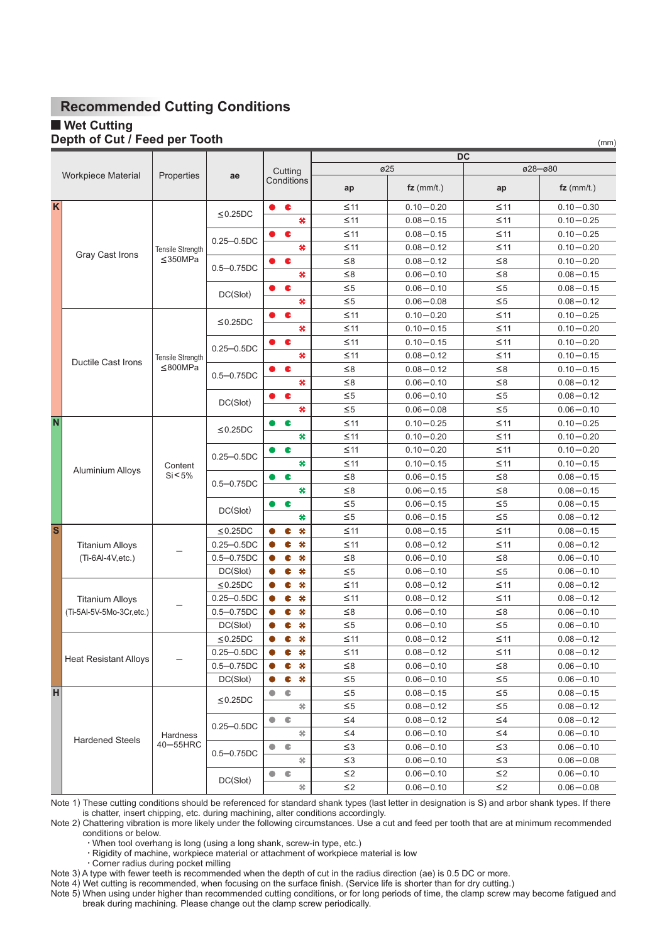### **Wet Cutting**

#### Depth of Cut / Feed per Tooth

|                         |                              |                    |                |                        | DC            |               |               |               |  |  |
|-------------------------|------------------------------|--------------------|----------------|------------------------|---------------|---------------|---------------|---------------|--|--|
|                         |                              |                    |                | Cutting                |               | ø25           |               | ø28-ø80       |  |  |
|                         | <b>Workpiece Material</b>    | Properties         | ae             | Conditions             | ap            | $fz$ (mm/t.)  | ap            | $fz$ (mm/t.)  |  |  |
| $\mathsf{K}$            |                              |                    |                | $\bullet$<br>$\bullet$ | $\leq$ 11     | $0.10 - 0.20$ | $\leq$ 11     | $0.10 - 0.30$ |  |  |
|                         |                              |                    | $\leq$ 0.25DC  | ₩                      | $\leq$ 11     | $0.08 - 0.15$ | $\leq$ 11     | $0.10 - 0.25$ |  |  |
|                         |                              |                    |                | c<br>0                 | $\leq$ 11     | $0.08 - 0.15$ | $\leq$ 11     | $0.10 - 0.25$ |  |  |
|                         |                              | Tensile Strength   | $0.25 - 0.5DC$ | 关                      | $\leq$ 11     | $0.08 - 0.12$ | $\leq$ 11     | $0.10 - 0.20$ |  |  |
|                         | Gray Cast Irons              | $\leq$ 350MPa      |                | ¢                      | $\leq 8$      | $0.08 - 0.12$ | $\leq 8$      | $0.10 - 0.20$ |  |  |
|                         |                              |                    | $0.5 - 0.75DC$ | ₩                      | $\leq 8$      | $0.06 - 0.10$ | $\leq 8$      | $0.08 - 0.15$ |  |  |
|                         |                              |                    | DC(Slot)       | $\bullet$<br>0         | $\leq 5$      | $0.06 - 0.10$ | $\leq 5$      | $0.08 - 0.15$ |  |  |
|                         |                              |                    | 关              | $\leq 5$               | $0.06 - 0.08$ | $\leq 5$      | $0.08 - 0.12$ |               |  |  |
|                         |                              |                    |                | ¢                      | $\leq$ 11     | $0.10 - 0.20$ | $\leq$ 11     | $0.10 - 0.25$ |  |  |
|                         |                              |                    | $\leq$ 0.25DC  | ₩                      | $\leq 11$     | $0.10 - 0.15$ | $\leq 11$     | $0.10 - 0.20$ |  |  |
|                         |                              |                    | $0.25 - 0.5DC$ | ¢                      | $\leq 11$     | $0.10 - 0.15$ | $\leq 11$     | $0.10 - 0.20$ |  |  |
|                         | <b>Ductile Cast Irons</b>    | Tensile Strength   |                | 关                      | $\leq 11$     | $0.08 - 0.12$ | $\leq 11$     | $0.10 - 0.15$ |  |  |
|                         |                              | < 800 MPa          | $0.5 - 0.75DC$ | c                      | $\leq 8$      | $0.08 - 0.12$ | $\leq 8$      | $0.10 - 0.15$ |  |  |
|                         |                              |                    |                | ×                      | $\leq 8$      | $0.06 - 0.10$ | $\leq 8$      | $0.08 - 0.12$ |  |  |
|                         |                              |                    | DC(Slot)       | ¢                      | $\leq 5$      | $0.06 - 0.10$ | $\leq 5$      | $0.08 - 0.12$ |  |  |
|                         |                              |                    |                | ₩                      | $\leq 5$      | $0.06 - 0.08$ | $\leq 5$      | $0.06 - 0.10$ |  |  |
| N                       |                              |                    | $\leq$ 0.25DC  | c                      | $\leq$ 11     | $0.10 - 0.25$ | $\leq$ 11     | $0.10 - 0.25$ |  |  |
|                         |                              |                    |                | ₩                      | $\leq$ 11     | $0.10 - 0.20$ | $\leq$ 11     | $0.10 - 0.20$ |  |  |
|                         |                              |                    | $0.25 - 0.5DC$ | c                      | $\leq$ 11     | $0.10 - 0.20$ | $\leq$ 11     | $0.10 - 0.20$ |  |  |
|                         | <b>Aluminium Alloys</b>      | Content<br>Si < 5% |                | ×                      | $\leq$ 11     | $0.10 - 0.15$ | $\leq$ 11     | $0.10 - 0.15$ |  |  |
|                         |                              |                    | $0.5 - 0.75DC$ | c                      | $\leq 8$      | $0.06 - 0.15$ | $\leq 8$      | $0.08 - 0.15$ |  |  |
|                         |                              |                    |                | ₩                      | $\leq 8$      | $0.06 - 0.15$ | $\leq 8$      | $0.08 - 0.15$ |  |  |
|                         |                              |                    | DC(Slot)       | c<br>D                 | $\leq 5$      | $0.06 - 0.15$ | $\leq 5$      | $0.08 - 0.15$ |  |  |
|                         |                              |                    |                | ₩                      | $\leq 5$      | $0.06 - 0.15$ | $\leq 5$      | $0.08 - 0.12$ |  |  |
| $\overline{\mathbf{s}}$ |                              |                    | $\leq$ 0.25DC  | ×<br>c                 | $\leq$ 11     | $0.08 - 0.15$ | $\leq$ 11     | $0.08 - 0.15$ |  |  |
|                         | <b>Titanium Alloys</b>       |                    | $0.25 - 0.5DC$ | ₩<br>c                 | $\leq$ 11     | $0.08 - 0.12$ | $\leq$ 11     | $0.08 - 0.12$ |  |  |
|                         | $(Ti-6Al-4V,etc.)$           |                    | $0.5 - 0.75DC$ | ₩<br>c                 | $\leq 8$      | $0.06 - 0.10$ | $\leq 8$      | $0.06 - 0.10$ |  |  |
|                         |                              |                    | DC(Slot)       | ₩<br>c                 | $\leq 5$      | $0.06 - 0.10$ | $\leq 5$      | $0.06 - 0.10$ |  |  |
|                         |                              |                    | $\leq$ 0.25DC  | ×<br>c                 | $\leq$ 11     | $0.08 - 0.12$ | $\leq$ 11     | $0.08 - 0.12$ |  |  |
|                         | <b>Titanium Alloys</b>       |                    | $0.25 - 0.5DC$ | ×<br>c                 | $\leq$ 11     | $0.08 - 0.12$ | $\leq$ 11     | $0.08 - 0.12$ |  |  |
|                         | (Ti-5Al-5V-5Mo-3Cr,etc.)     |                    | $0.5 - 0.75DC$ | ₩<br>C                 | $\leq 8$      | $0.06 - 0.10$ | ≤8            | $0.06 - 0.10$ |  |  |
|                         |                              |                    | DC(Slot)       | ₩<br>c                 | $\leq 5$      | $0.06 - 0.10$ | $\leq 5$      | $0.06 - 0.10$ |  |  |
|                         |                              |                    | $\leq$ 0.25DC  | ₩<br>c                 | $\leq$ 11     | $0.08 - 0.12$ | $\leq$ 11     | $0.08 - 0.12$ |  |  |
|                         | <b>Heat Resistant Alloys</b> |                    | $0.25 - 0.5DC$ | C<br>₩                 | ≤11           | $0.08 - 0.12$ | ≤11           | $0.08 - 0.12$ |  |  |
|                         |                              |                    | $0.5 - 0.75DC$ | ₩<br>c                 | $\leq 8$      | $0.06 - 0.10$ | $\leq 8$      | $0.06 - 0.10$ |  |  |
|                         |                              |                    | DC(Slot)       | ₩<br>¢<br>0            | $\leq 5$      | $0.06 - 0.10$ | $\leq 5$      | $0.06 - 0.10$ |  |  |
| H                       |                              |                    | $\leq$ 0.25DC  | $\bullet$<br>$\bullet$ | $\leq 5$      | $0.08 - 0.15$ | $\leq 5$      | $0.08 - 0.15$ |  |  |
|                         |                              |                    |                | 爷                      | $\leq 5$      | $0.08 - 0.12$ | $\leq 5$      | $0.08 - 0.12$ |  |  |
|                         |                              |                    | $0.25 - 0.5DC$ | $\bullet$<br>$\bullet$ | $\leq$ 4      | $0.08 - 0.12$ | $\leq$ 4      | $0.08 - 0.12$ |  |  |
|                         | <b>Hardened Steels</b>       | Hardness           |                | 关                      | $\leq$ 4      | $0.06 - 0.10$ | $\leq$ 4      | $0.06 - 0.10$ |  |  |
|                         |                              | 40-55HRC           | $0.5 - 0.75DC$ | $\bullet$<br>$\bullet$ | $\leq$ 3      | $0.06 - 0.10$ | $\leq$ 3      | $0.06 - 0.10$ |  |  |
|                         |                              |                    |                | 关                      | $\leq$ 3      | $0.06 - 0.10$ | $\leq$ 3      | $0.06 - 0.08$ |  |  |
|                         |                              |                    | DC(Slot)       | $\bullet$<br>€         | $\leq$ 2      | $0.06 - 0.10$ | $\leq$ 2      | $0.06 - 0.10$ |  |  |
|                         |                              |                    |                | 爷                      | $\leq$ 2      | $0.06 - 0.10$ | $\leq$ 2      | $0.06 - 0.08$ |  |  |

 $(mm)$ 

Note 1) These cutting conditions should be referenced for standard shank types (last letter in designation is S) and arbor shank types. If there is chatter, insert chipping, etc. during machining, alter conditions accordingly.

Note 2) Chattering vibration is more likely under the following circumstances. Use a cut and feed per tooth that are at minimum recommended conditions or below.

· Corner radius during pocket milling

Note 3) A type with fewer teeth is recommended when the depth of cut in the radius direction (ae) is 0.5 DC or more.

Note 4) Wet cutting is recommended, when focusing on the surface finish. (Service life is shorter than for dry cutting.)

Note 5) When using under higher than recommended cutting conditions, or for long periods of time, the clamp screw may become fatigued and break during machining. Please change out the clamp screw periodically.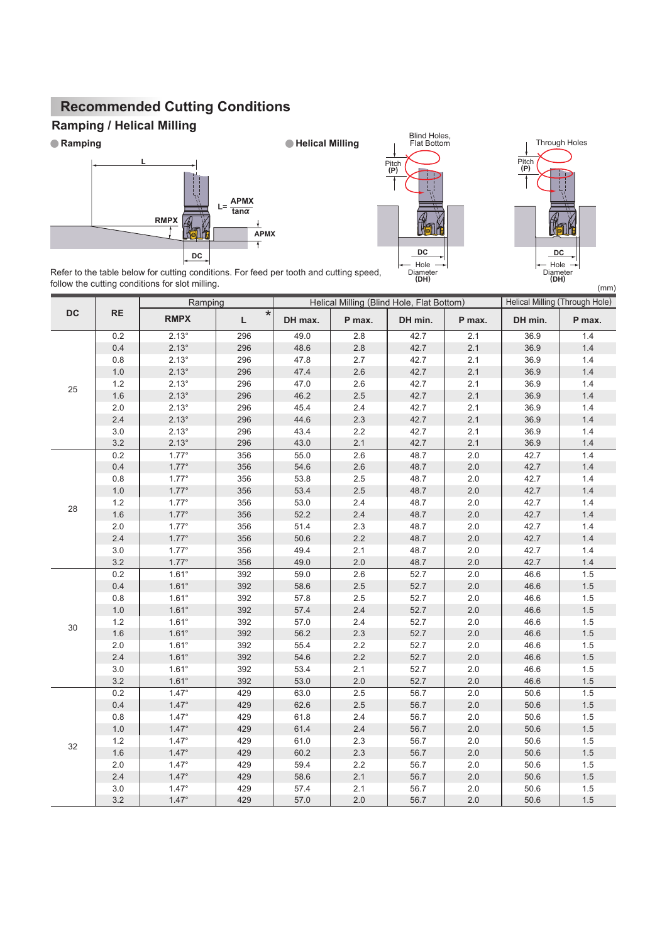# **Ramping / Helical Milling**







Refer to the table below for cutting conditions. For feed per tooth and cutting speed, follow the cutting conditions for slot milling.

|    |           | Ramping        |               |         | Helical Milling (Blind Hole, Flat Bottom) |         |         | <b>Helical Milling (Through Hole)</b> |         |  |
|----|-----------|----------------|---------------|---------|-------------------------------------------|---------|---------|---------------------------------------|---------|--|
| DC | <b>RE</b> | <b>RMPX</b>    | $\star$<br>L. | DH max. | P max.                                    | DH min. | P max.  | DH min.                               | P max.  |  |
|    | 0.2       | $2.13^\circ$   | 296           | 49.0    | 2.8                                       | 42.7    | 2.1     | 36.9                                  | 1.4     |  |
|    | $0.4\,$   | $2.13^{\circ}$ | 296           | 48.6    | $2.8\,$                                   | 42.7    | 2.1     | 36.9                                  | $1.4\,$ |  |
|    | $0.8\,$   | $2.13^\circ$   | 296           | 47.8    | 2.7                                       | 42.7    | 2.1     | 36.9                                  | 1.4     |  |
|    | $1.0$     | $2.13^{\circ}$ | 296           | 47.4    | 2.6                                       | 42.7    | 2.1     | 36.9                                  | 1.4     |  |
| 25 | 1.2       | $2.13^\circ$   | 296           | 47.0    | 2.6                                       | 42.7    | 2.1     | 36.9                                  | 1.4     |  |
|    | 1.6       | $2.13^{\circ}$ | 296           | 46.2    | 2.5                                       | 42.7    | 2.1     | 36.9                                  | 1.4     |  |
|    | $2.0\,$   | $2.13^\circ$   | 296           | 45.4    | 2.4                                       | 42.7    | 2.1     | 36.9                                  | 1.4     |  |
|    | 2.4       | $2.13^\circ$   | 296           | 44.6    | 2.3                                       | 42.7    | 2.1     | 36.9                                  | $1.4$   |  |
|    | $3.0\,$   | $2.13^{\circ}$ | 296           | 43.4    | 2.2                                       | 42.7    | 2.1     | 36.9                                  | 1.4     |  |
|    | 3.2       | $2.13^\circ$   | 296           | 43.0    | 2.1                                       | 42.7    | 2.1     | 36.9                                  | $1.4$   |  |
|    | 0.2       | $1.77^\circ$   | 356           | 55.0    | 2.6                                       | 48.7    | 2.0     | 42.7                                  | 1.4     |  |
|    | 0.4       | $1.77^\circ$   | 356           | 54.6    | 2.6                                       | 48.7    | 2.0     | 42.7                                  | $1.4$   |  |
|    | 0.8       | $1.77^{\circ}$ | 356           | 53.8    | 2.5                                       | 48.7    | 2.0     | 42.7                                  | 1.4     |  |
|    | $1.0$     | $1.77^\circ$   | 356           | 53.4    | 2.5                                       | 48.7    | 2.0     | 42.7                                  | $1.4$   |  |
|    | 1.2       | $1.77^\circ$   | 356           | 53.0    | 2.4                                       | 48.7    | 2.0     | 42.7                                  | 1.4     |  |
| 28 | 1.6       | $1.77^\circ$   | 356           | 52.2    | 2.4                                       | 48.7    | 2.0     | 42.7                                  | $1.4$   |  |
|    | 2.0       | $1.77^\circ$   | 356           | 51.4    | 2.3                                       | 48.7    | 2.0     | 42.7                                  | 1.4     |  |
|    | 2.4       | $1.77^\circ$   | 356           | 50.6    | 2.2                                       | 48.7    | 2.0     | 42.7                                  | $1.4$   |  |
|    | 3.0       | $1.77^\circ$   | 356           | 49.4    | 2.1                                       | 48.7    | 2.0     | 42.7                                  | 1.4     |  |
|    | 3.2       | $1.77^\circ$   | 356           | 49.0    | 2.0                                       | 48.7    | 2.0     | 42.7                                  | 1.4     |  |
|    | 0.2       | $1.61^\circ$   | 392           | 59.0    | 2.6                                       | 52.7    | $2.0\,$ | 46.6                                  | 1.5     |  |
|    | 0.4       | $1.61^{\circ}$ | 392           | 58.6    | 2.5                                       | 52.7    | 2.0     | 46.6                                  | 1.5     |  |
|    | 0.8       | $1.61^\circ$   | 392           | 57.8    | 2.5                                       | 52.7    | 2.0     | 46.6                                  | 1.5     |  |
|    | $1.0$     | $1.61^{\circ}$ | 392           | 57.4    | 2.4                                       | 52.7    | 2.0     | 46.6                                  | 1.5     |  |
|    | 1.2       | $1.61^\circ$   | 392           | 57.0    | 2.4                                       | 52.7    | 2.0     | 46.6                                  | 1.5     |  |
| 30 | 1.6       | $1.61^\circ$   | 392           | 56.2    | 2.3                                       | 52.7    | 2.0     | 46.6                                  | 1.5     |  |
|    | $2.0\,$   | $1.61^\circ$   | 392           | 55.4    | $2.2\,$                                   | 52.7    | $2.0\,$ | 46.6                                  | $1.5\,$ |  |
|    | 2.4       | $1.61^\circ$   | 392           | 54.6    | 2.2                                       | 52.7    | 2.0     | 46.6                                  | $1.5\,$ |  |
|    | $3.0\,$   | $1.61^\circ$   | 392           | 53.4    | 2.1                                       | 52.7    | $2.0\,$ | 46.6                                  | $1.5\,$ |  |
|    | 3.2       | $1.61^\circ$   | 392           | 53.0    | 2.0                                       | 52.7    | 2.0     | 46.6                                  | 1.5     |  |
|    | 0.2       | $1.47^\circ$   | 429           | 63.0    | 2.5                                       | 56.7    | 2.0     | 50.6                                  | 1.5     |  |
|    | 0.4       | $1.47^\circ$   | 429           | 62.6    | 2.5                                       | 56.7    | 2.0     | 50.6                                  | 1.5     |  |
|    | $0.8\,$   | $1.47^\circ$   | 429           | 61.8    | 2.4                                       | 56.7    | 2.0     | 50.6                                  | 1.5     |  |
|    | $1.0$     | $1.47^\circ$   | 429           | 61.4    | 2.4                                       | 56.7    | 2.0     | 50.6                                  | 1.5     |  |
|    | 1.2       | $1.47^\circ$   | 429           | 61.0    | 2.3                                       | 56.7    | 2.0     | 50.6                                  | 1.5     |  |
| 32 | 1.6       | $1.47^\circ$   | 429           | 60.2    | 2.3                                       | 56.7    | 2.0     | 50.6                                  | $1.5\,$ |  |
|    | 2.0       | $1.47^\circ$   | 429           | 59.4    | 2.2                                       | 56.7    | 2.0     | 50.6                                  | 1.5     |  |
|    | 2.4       | $1.47^\circ$   | 429           | 58.6    | 2.1                                       | 56.7    | 2.0     | 50.6                                  | 1.5     |  |
|    | 3.0       | $1.47^\circ$   | 429           | 57.4    | 2.1                                       | 56.7    | 2.0     | 50.6                                  | 1.5     |  |
|    | 3.2       | $1.47^\circ$   | 429           | 57.0    | 2.0                                       | 56.7    | 2.0     | 50.6                                  | 1.5     |  |

**Ramping Helical Milling**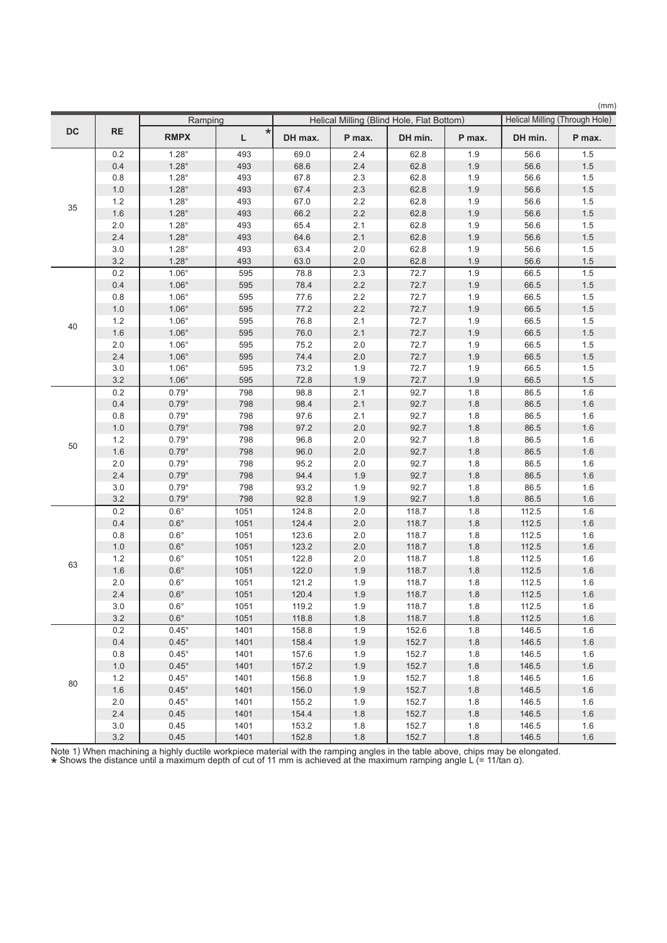|           |           |                |              |         |         |                                           |         | (mm)    |                                |
|-----------|-----------|----------------|--------------|---------|---------|-------------------------------------------|---------|---------|--------------------------------|
|           |           | Ramping        |              |         |         | Helical Milling (Blind Hole, Flat Bottom) |         |         | Helical Milling (Through Hole) |
| <b>DC</b> | <b>RE</b> | <b>RMPX</b>    | $\star$<br>L | DH max. | P max.  | DH min.                                   | P max.  | DH min. | P max.                         |
|           | 0.2       | $1.28^\circ$   | 493          | 69.0    | 2.4     | 62.8                                      | 1.9     | 56.6    | 1.5                            |
|           | 0.4       | $1.28^\circ$   | 493          | 68.6    | 2.4     | 62.8                                      | 1.9     | 56.6    | 1.5                            |
|           | 0.8       | $1.28^\circ$   | 493          | 67.8    | 2.3     | 62.8                                      | 1.9     | 56.6    | 1.5                            |
|           | 1.0       | $1.28^\circ$   | 493          | 67.4    | 2.3     | 62.8                                      | 1.9     | 56.6    | 1.5                            |
| 35        | 1.2       | $1.28^\circ$   | 493          | 67.0    | 2.2     | 62.8                                      | 1.9     | 56.6    | 1.5                            |
|           | 1.6       | $1.28^\circ$   | 493          | 66.2    | 2.2     | 62.8                                      | $1.9$   | 56.6    | 1.5                            |
|           | 2.0       | $1.28^\circ$   | 493          | 65.4    | 2.1     | 62.8                                      | 1.9     | 56.6    | 1.5                            |
|           | 2.4       | $1.28^\circ$   | 493          | 64.6    | 2.1     | 62.8                                      | 1.9     | 56.6    | $1.5$                          |
|           | 3.0       | $1.28^\circ$   | 493          | 63.4    | 2.0     | 62.8                                      | 1.9     | 56.6    | 1.5                            |
|           | 3.2       | $1.28^\circ$   | 493          | 63.0    | 2.0     | 62.8                                      | 1.9     | 56.6    | 1.5                            |
|           | 0.2       | $1.06^\circ$   | 595          | 78.8    | 2.3     | 72.7                                      | 1.9     | 66.5    | 1.5                            |
|           | 0.4       | $1.06^\circ$   | 595          | 78.4    | $2.2\,$ | 72.7                                      | 1.9     | 66.5    | $1.5\,$                        |
|           | 0.8       | $1.06^\circ$   | 595          | 77.6    | 2.2     | 72.7                                      | 1.9     | 66.5    | 1.5                            |
|           | 1.0       | $1.06^\circ$   | 595          | 77.2    | 2.2     | 72.7                                      | $1.9$   | 66.5    | 1.5                            |
| 40        | 1.2       | $1.06^{\circ}$ | 595          | 76.8    | 2.1     | 72.7                                      | 1.9     | 66.5    | 1.5                            |
|           | 1.6       | $1.06^{\circ}$ | 595          | 76.0    | 2.1     | 72.7                                      | 1.9     | 66.5    | 1.5                            |
|           | 2.0       | $1.06^{\circ}$ | 595          | 75.2    | 2.0     | 72.7                                      | 1.9     | 66.5    | 1.5                            |
|           | 2.4       | $1.06^{\circ}$ | 595          | 74.4    | 2.0     | 72.7                                      | 1.9     | 66.5    | 1.5                            |
|           | 3.0       | $1.06^\circ$   | 595          | 73.2    | 1.9     | 72.7                                      | 1.9     | 66.5    | 1.5                            |
|           | 3.2       | $1.06^\circ$   | 595          | 72.8    | 1.9     | 72.7                                      | 1.9     | 66.5    | $1.5$                          |
|           | 0.2       | $0.79^\circ$   | 798          | 98.8    | 2.1     | 92.7                                      | 1.8     | 86.5    | 1.6                            |
|           | 0.4       | $0.79^\circ$   | 798          | 98.4    | 2.1     | 92.7                                      | 1.8     | 86.5    | 1.6                            |
|           | 0.8       | $0.79^\circ$   | 798          | 97.6    | 2.1     | 92.7                                      | 1.8     | 86.5    | 1.6                            |
|           | 1.0       | $0.79^\circ$   | 798          | 97.2    | 2.0     | 92.7                                      | 1.8     | 86.5    | 1.6                            |
| 50        | 1.2       | $0.79^\circ$   | 798          | 96.8    | 2.0     | 92.7                                      | 1.8     | 86.5    | 1.6                            |
|           | 1.6       | $0.79^\circ$   | 798          | 96.0    | 2.0     | 92.7                                      | 1.8     | 86.5    | 1.6                            |
|           | 2.0       | $0.79^\circ$   | 798          | 95.2    | 2.0     | 92.7                                      | 1.8     | 86.5    | 1.6                            |
|           | 2.4       | $0.79^\circ$   | 798          | 94.4    | 1.9     | 92.7                                      | 1.8     | 86.5    | 1.6                            |
|           | 3.0       | $0.79^\circ$   | 798          | 93.2    | 1.9     | 92.7                                      | 1.8     | 86.5    | $1.6\,$                        |
|           | 3.2       | $0.79^\circ$   | 798          | 92.8    | 1.9     | 92.7                                      | 1.8     | 86.5    | 1.6                            |
|           | 0.2       | $0.6^\circ$    | 1051         | 124.8   | 2.0     | 118.7                                     | 1.8     | 112.5   | 1.6                            |
|           | 0.4       | $0.6^\circ$    | 1051         | 124.4   | 2.0     | 118.7                                     | 1.8     | 112.5   | 1.6                            |
|           | 0.8       | $0.6^\circ$    | 1051         | 123.6   | 2.0     | 118.7                                     | 1.8     | 112.5   | 1.6                            |
|           | 1.0       | $0.6^\circ$    | 1051         | 123.2   | $2.0\,$ | 118.7                                     | 1.8     | 112.5   | 1.6                            |
| 63        | 1.2       | $0.6^\circ$    | 1051         | 122.8   | 2.0     | 118.7                                     | 1.8     | 112.5   | 1.6                            |
|           | 1.6       | $0.6^\circ$    | 1051         | 122.0   | 1.9     | 118.7                                     | 1.8     | 112.5   | 1.6                            |
|           | 2.0       | $0.6^\circ$    | 1051         | 121.2   | 1.9     | 118.7                                     | 1.8     | 112.5   | 1.6                            |
|           | 2.4       | $0.6^\circ$    | 1051         | 120.4   | 1.9     | 118.7                                     | 1.8     | 112.5   | 1.6                            |
|           | $3.0\,$   | $0.6^{\circ}$  | 1051         | 119.2   | 1.9     | 118.7                                     | $1.8\,$ | 112.5   | $1.6\,$                        |
|           | 3.2       | $0.6^\circ$    | 1051         | 118.8   | 1.8     | 118.7                                     | 1.8     | 112.5   | 1.6                            |
|           | 0.2       | $0.45^{\circ}$ | 1401         | 158.8   | 1.9     | 152.6                                     | 1.8     | 146.5   | 1.6                            |
|           | 0.4       | $0.45^{\circ}$ | 1401         | 158.4   | 1.9     | 152.7                                     | 1.8     | 146.5   | 1.6                            |
|           | 0.8       | $0.45^\circ$   | 1401         | 157.6   | 1.9     | 152.7                                     | 1.8     | 146.5   | 1.6                            |
|           | 1.0       | $0.45^{\circ}$ | 1401         | 157.2   | 1.9     | 152.7                                     | $1.8$   | 146.5   | 1.6                            |
| 80        | 1.2       | $0.45^\circ$   | 1401         | 156.8   | 1.9     | 152.7                                     | 1.8     | 146.5   | 1.6                            |
|           | 1.6       | $0.45^{\circ}$ | 1401         | 156.0   | 1.9     | 152.7                                     | $1.8$   | 146.5   | 1.6                            |
|           | 2.0       | $0.45^{\circ}$ | 1401         | 155.2   | 1.9     | 152.7                                     | 1.8     | 146.5   | 1.6                            |
|           | 2.4       | 0.45           | 1401         | 154.4   | $1.8$   | 152.7                                     | 1.8     | 146.5   | 1.6                            |
|           | 3.0       | 0.45           | 1401         | 153.2   | 1.8     | 152.7                                     | 1.8     | 146.5   | 1.6                            |
|           | 3.2       | 0.45           | 1401         | 152.8   | $1.8$   | 152.7                                     | $1.8$   | 146.5   | 1.6                            |

Note 1) When machining a highly ductile workpiece material with the ramping angles in the table above, chips may be elongated. \* Shows the distance until a maximum depth of cut of 11 mm is achieved at the maximum ramping angle L (= 11/tan α).